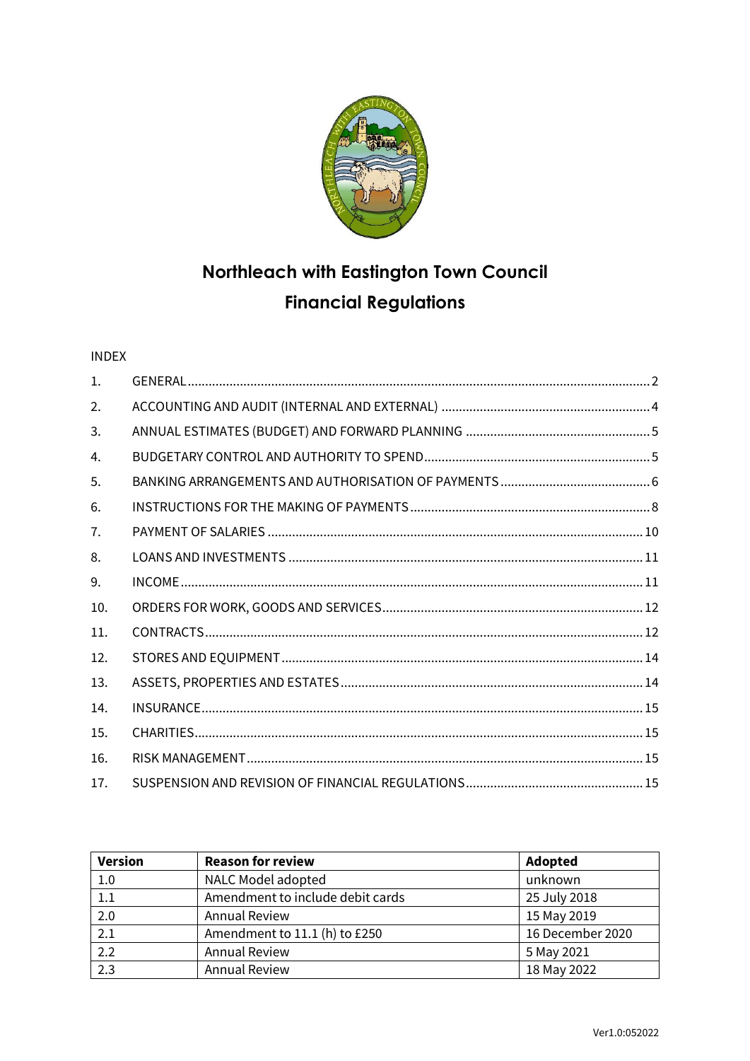

# **Northleach with Eastington Town Council Financial Regulations**

## INDEX

| $\mathbf{1}$ . |  |
|----------------|--|
| 2.             |  |
| 3.             |  |
| 4.             |  |
| 5.             |  |
| 6.             |  |
| 7.             |  |
| 8.             |  |
| 9.             |  |
| 10.            |  |
| 11.            |  |
| 12.            |  |
| 13.            |  |
| 14.            |  |
| 15.            |  |
| 16.            |  |
| 17.            |  |

| <b>Version</b> | <b>Reason for review</b>         | Adopted          |
|----------------|----------------------------------|------------------|
| 1.0            | NALC Model adopted               | unknown          |
| 1.1            | Amendment to include debit cards | 25 July 2018     |
| 2.0            | <b>Annual Review</b>             | 15 May 2019      |
| 2.1            | Amendment to 11.1 (h) to £250    | 16 December 2020 |
| 2.2            | <b>Annual Review</b>             | 5 May 2021       |
| 2.3            | <b>Annual Review</b>             | 18 May 2022      |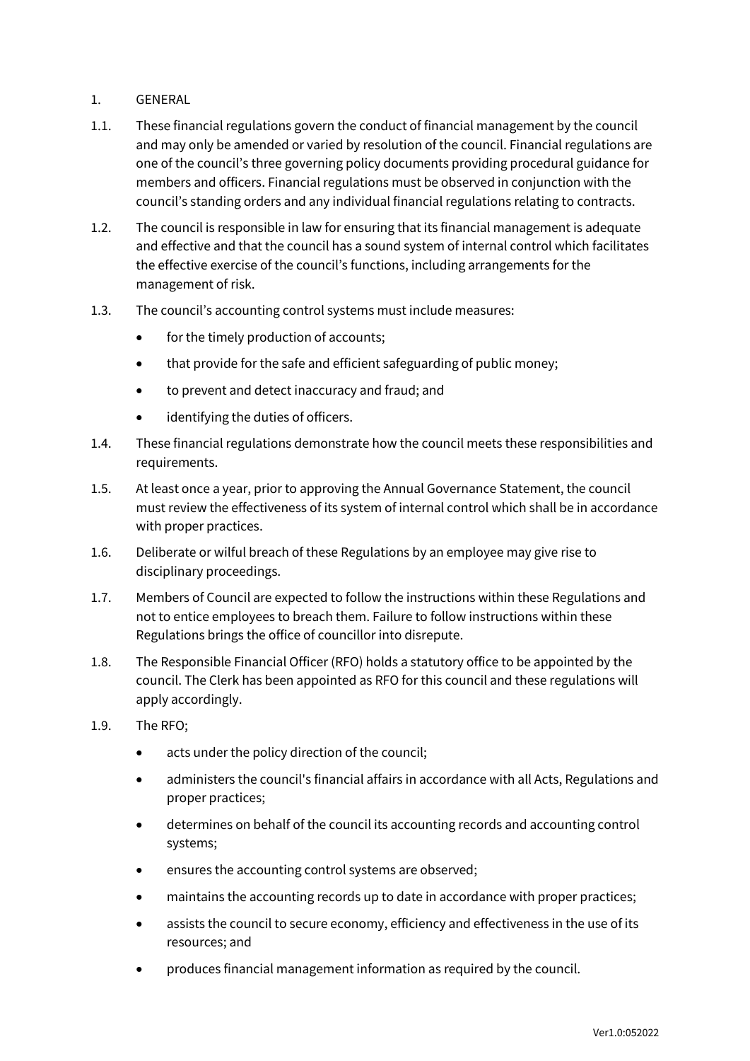## <span id="page-1-0"></span>1. GENERAL

- 1.1. These financial regulations govern the conduct of financial management by the council and may only be amended or varied by resolution of the council. Financial regulations are one of the council's three governing policy documents providing procedural guidance for members and officers. Financial regulations must be observed in conjunction with the council's standing orders and any individual financial regulations relating to contracts.
- 1.2. The council is responsible in law for ensuring that its financial management is adequate and effective and that the council has a sound system of internal control which facilitates the effective exercise of the council's functions, including arrangements for the management of risk.
- 1.3. The council's accounting control systems must include measures:
	- for the timely production of accounts;
	- that provide for the safe and efficient safeguarding of public money;
	- to prevent and detect inaccuracy and fraud; and
	- identifying the duties of officers.
- 1.4. These financial regulations demonstrate how the council meets these responsibilities and requirements.
- 1.5. At least once a year, prior to approving the Annual Governance Statement, the council must review the effectiveness of its system of internal control which shall be in accordance with proper practices.
- 1.6. Deliberate or wilful breach of these Regulations by an employee may give rise to disciplinary proceedings.
- 1.7. Members of Council are expected to follow the instructions within these Regulations and not to entice employees to breach them. Failure to follow instructions within these Regulations brings the office of councillor into disrepute.
- 1.8. The Responsible Financial Officer (RFO) holds a statutory office to be appointed by the council. The Clerk has been appointed as RFO for this council and these regulations will apply accordingly.
- 1.9. The RFO;
	- acts under the policy direction of the council:
	- administers the council's financial affairs in accordance with all Acts, Regulations and proper practices;
	- determines on behalf of the council its accounting records and accounting control systems;
	- ensures the accounting control systems are observed;
	- maintains the accounting records up to date in accordance with proper practices;
	- assists the council to secure economy, efficiency and effectiveness in the use of its resources; and
	- produces financial management information as required by the council.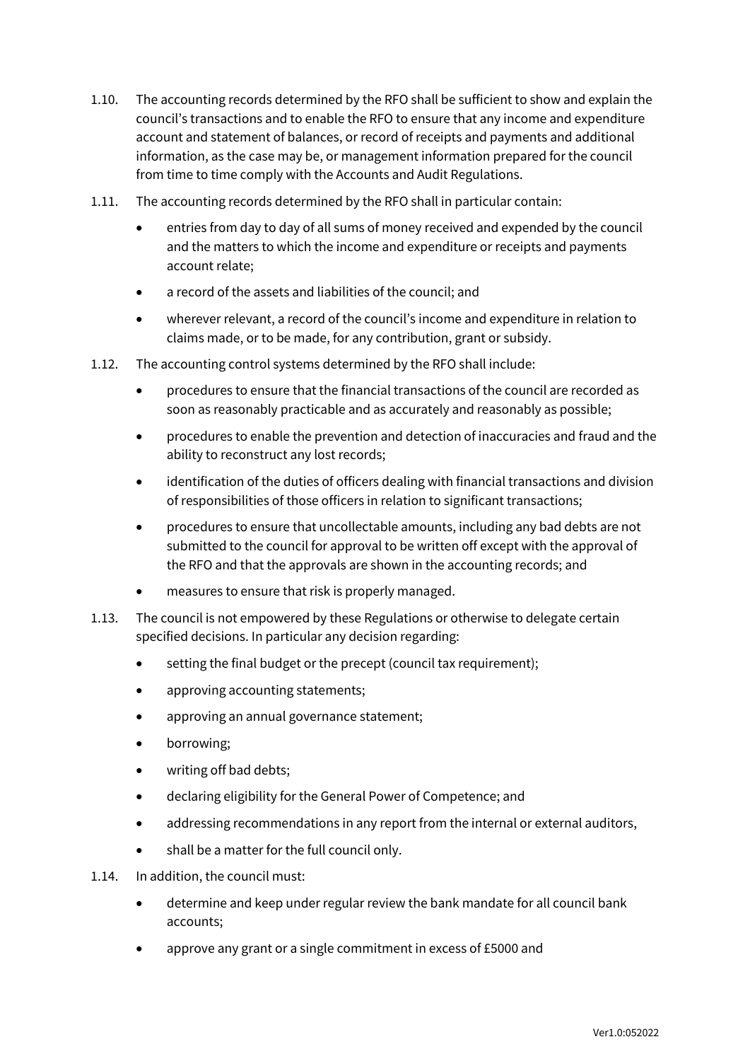- 1.10. The accounting records determined by the RFO shall be sufficient to show and explain the council's transactions and to enable the RFO to ensure that any income and expenditure account and statement of balances, or record of receipts and payments and additional information, as the case may be, or management information prepared for the council from time to time comply with the Accounts and Audit Regulations.
- 1.11. The accounting records determined by the RFO shall in particular contain:
	- entries from day to day of all sums of money received and expended by the council and the matters to which the income and expenditure or receipts and payments account relate;
	- a record of the assets and liabilities of the council; and
	- wherever relevant, a record of the council's income and expenditure in relation to claims made, or to be made, for any contribution, grant or subsidy.
- 1.12. The accounting control systems determined by the RFO shall include:
	- procedures to ensure that the financial transactions of the council are recorded as soon as reasonably practicable and as accurately and reasonably as possible;
	- procedures to enable the prevention and detection of inaccuracies and fraud and the ability to reconstruct any lost records;
	- identification of the duties of officers dealing with financial transactions and division of responsibilities of those officers in relation to significant transactions;
	- procedures to ensure that uncollectable amounts, including any bad debts are not submitted to the council for approval to be written off except with the approval of the RFO and that the approvals are shown in the accounting records; and
	- measures to ensure that risk is properly managed.
- 1.13. The council is not empowered by these Regulations or otherwise to delegate certain specified decisions. In particular any decision regarding:
	- setting the final budget or the precept (council tax requirement);
	- approving accounting statements;
	- approving an annual governance statement;
	- borrowing;
	- writing off bad debts;
	- declaring eligibility for the General Power of Competence; and
	- addressing recommendations in any report from the internal or external auditors,
	- shall be a matter for the full council only.
- 1.14. In addition, the council must:
	- determine and keep under regular review the bank mandate for all council bank accounts;
	- approve any grant or a single commitment in excess of £5000 and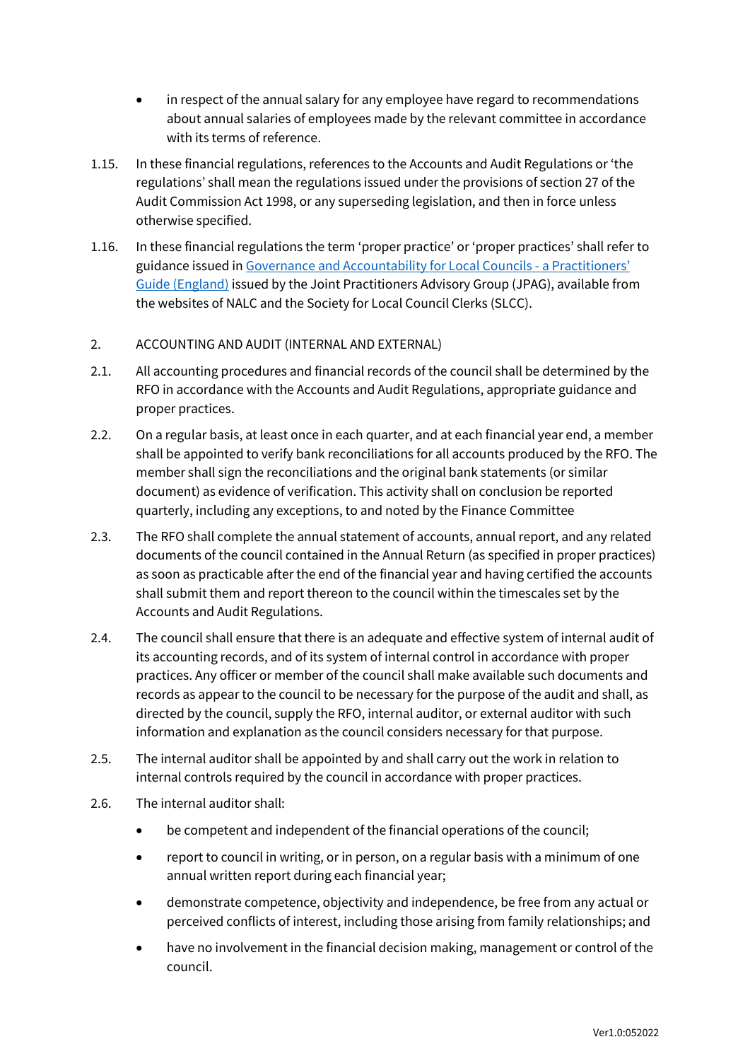- in respect of the annual salary for any employee have regard to recommendations about annual salaries of employees made by the relevant committee in accordance with its terms of reference.
- 1.15. In these financial regulations, references to the Accounts and Audit Regulations or 'the regulations' shall mean the regulations issued under the provisions of section 27 of the Audit Commission Act 1998, or any superseding legislation, and then in force unless otherwise specified.
- 1.16. In these financial regulations the term 'proper practice' or 'proper practices' shall refer to guidance issued i[n Governance and Accountability for Local Councils -](https://www.nalc.gov.uk/library/our-work/jpag/3698-practitioners-guide-2022/file) a Practitioners' [Guide \(England\)](https://www.nalc.gov.uk/library/our-work/jpag/3698-practitioners-guide-2022/file) issued by the Joint Practitioners Advisory Group (JPAG), available from the websites of NALC and the Society for Local Council Clerks (SLCC).

## <span id="page-3-0"></span>2. ACCOUNTING AND AUDIT (INTERNAL AND EXTERNAL)

- 2.1. All accounting procedures and financial records of the council shall be determined by the RFO in accordance with the Accounts and Audit Regulations, appropriate guidance and proper practices.
- 2.2. On a regular basis, at least once in each quarter, and at each financial year end, a member shall be appointed to verify bank reconciliations for all accounts produced by the RFO. The member shall sign the reconciliations and the original bank statements (or similar document) as evidence of verification. This activity shall on conclusion be reported quarterly, including any exceptions, to and noted by the Finance Committee
- 2.3. The RFO shall complete the annual statement of accounts, annual report, and any related documents of the council contained in the Annual Return (as specified in proper practices) as soon as practicable after the end of the financial year and having certified the accounts shall submit them and report thereon to the council within the timescales set by the Accounts and Audit Regulations.
- 2.4. The council shall ensure that there is an adequate and effective system of internal audit of its accounting records, and of its system of internal control in accordance with proper practices. Any officer or member of the council shall make available such documents and records as appear to the council to be necessary for the purpose of the audit and shall, as directed by the council, supply the RFO, internal auditor, or external auditor with such information and explanation as the council considers necessary for that purpose.
- 2.5. The internal auditor shall be appointed by and shall carry out the work in relation to internal controls required by the council in accordance with proper practices.
- 2.6. The internal auditor shall:
	- be competent and independent of the financial operations of the council;
	- report to council in writing, or in person, on a regular basis with a minimum of one annual written report during each financial year;
	- demonstrate competence, objectivity and independence, be free from any actual or perceived conflicts of interest, including those arising from family relationships; and
	- have no involvement in the financial decision making, management or control of the council.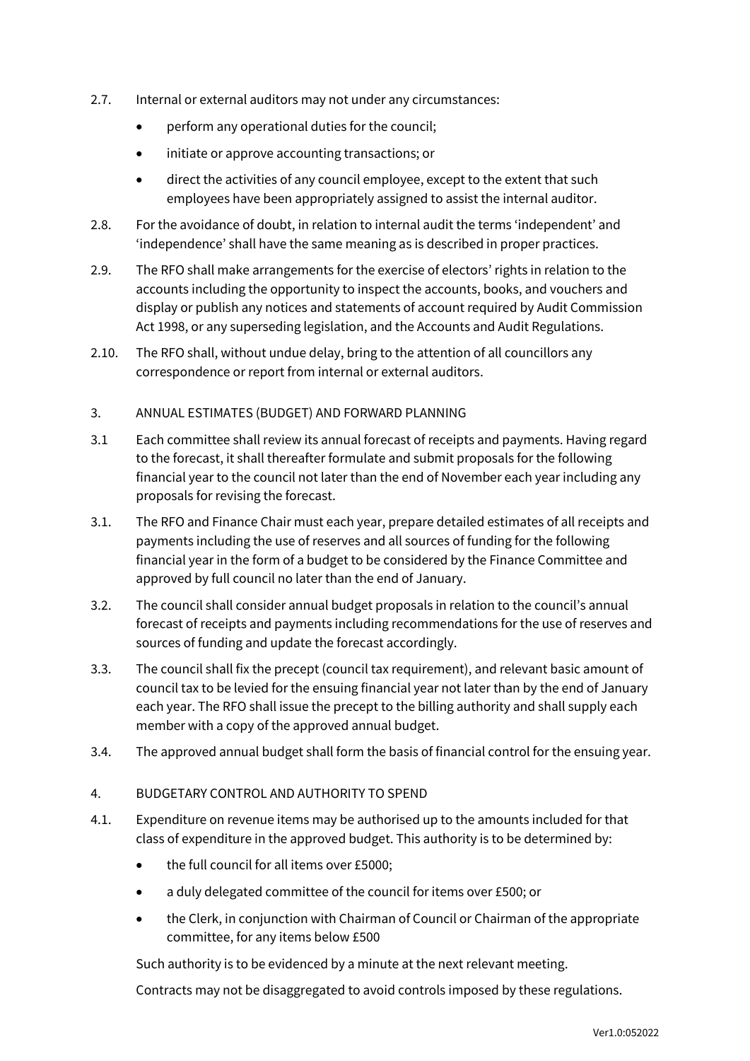- 2.7. Internal or external auditors may not under any circumstances:
	- perform any operational duties for the council;
	- initiate or approve accounting transactions; or
	- direct the activities of any council employee, except to the extent that such employees have been appropriately assigned to assist the internal auditor.
- 2.8. For the avoidance of doubt, in relation to internal audit the terms 'independent' and 'independence' shall have the same meaning as is described in proper practices.
- 2.9. The RFO shall make arrangements for the exercise of electors' rights in relation to the accounts including the opportunity to inspect the accounts, books, and vouchers and display or publish any notices and statements of account required by Audit Commission Act 1998, or any superseding legislation, and the Accounts and Audit Regulations.
- 2.10. The RFO shall, without undue delay, bring to the attention of all councillors any correspondence or report from internal or external auditors.

## <span id="page-4-0"></span>3. ANNUAL ESTIMATES (BUDGET) AND FORWARD PLANNING

- 3.1 Each committee shall review its annual forecast of receipts and payments. Having regard to the forecast, it shall thereafter formulate and submit proposals for the following financial year to the council not later than the end of November each year including any proposals for revising the forecast.
- 3.1. The RFO and Finance Chair must each year, prepare detailed estimates of all receipts and payments including the use of reserves and all sources of funding for the following financial year in the form of a budget to be considered by the Finance Committee and approved by full council no later than the end of January.
- 3.2. The council shall consider annual budget proposals in relation to the council's annual forecast of receipts and payments including recommendations for the use of reserves and sources of funding and update the forecast accordingly.
- 3.3. The council shall fix the precept (council tax requirement), and relevant basic amount of council tax to be levied for the ensuing financial year not later than by the end of January each year. The RFO shall issue the precept to the billing authority and shall supply each member with a copy of the approved annual budget.
- 3.4. The approved annual budget shall form the basis of financial control for the ensuing year.

## <span id="page-4-1"></span>4. BUDGETARY CONTROL AND AUTHORITY TO SPEND

- 4.1. Expenditure on revenue items may be authorised up to the amounts included for that class of expenditure in the approved budget. This authority is to be determined by:
	- the full council for all items over £5000;
	- a duly delegated committee of the council for items over £500; or
	- the Clerk, in conjunction with Chairman of Council or Chairman of the appropriate committee, for any items below £500

Such authority is to be evidenced by a minute at the next relevant meeting.

Contracts may not be disaggregated to avoid controls imposed by these regulations.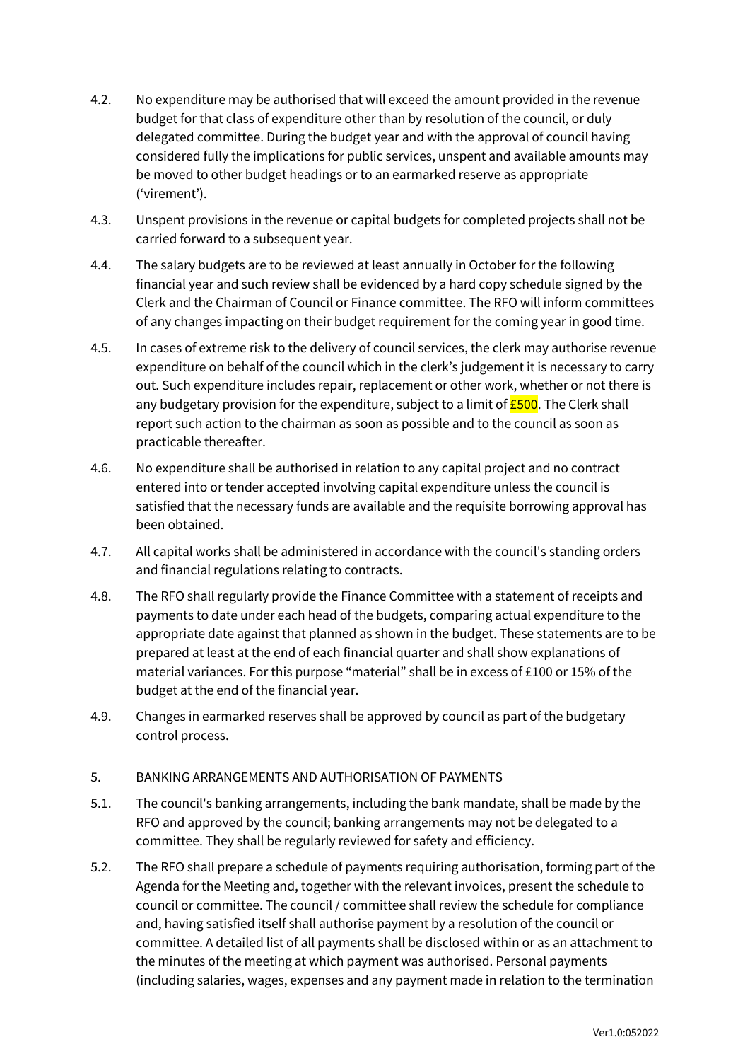- 4.2. No expenditure may be authorised that will exceed the amount provided in the revenue budget for that class of expenditure other than by resolution of the council, or duly delegated committee. During the budget year and with the approval of council having considered fully the implications for public services, unspent and available amounts may be moved to other budget headings or to an earmarked reserve as appropriate ('virement').
- 4.3. Unspent provisions in the revenue or capital budgets for completed projects shall not be carried forward to a subsequent year.
- 4.4. The salary budgets are to be reviewed at least annually in October for the following financial year and such review shall be evidenced by a hard copy schedule signed by the Clerk and the Chairman of Council or Finance committee. The RFO will inform committees of any changes impacting on their budget requirement for the coming year in good time.
- 4.5. In cases of extreme risk to the delivery of council services, the clerk may authorise revenue expenditure on behalf of the council which in the clerk's judgement it is necessary to carry out. Such expenditure includes repair, replacement or other work, whether or not there is any budgetary provision for the expenditure, subject to a limit of  $E$ 500. The Clerk shall report such action to the chairman as soon as possible and to the council as soon as practicable thereafter.
- 4.6. No expenditure shall be authorised in relation to any capital project and no contract entered into or tender accepted involving capital expenditure unless the council is satisfied that the necessary funds are available and the requisite borrowing approval has been obtained.
- 4.7. All capital works shall be administered in accordance with the council's standing orders and financial regulations relating to contracts.
- 4.8. The RFO shall regularly provide the Finance Committee with a statement of receipts and payments to date under each head of the budgets, comparing actual expenditure to the appropriate date against that planned as shown in the budget. These statements are to be prepared at least at the end of each financial quarter and shall show explanations of material variances. For this purpose "material" shall be in excess of £100 or 15% of the budget at the end of the financial year.
- 4.9. Changes in earmarked reserves shall be approved by council as part of the budgetary control process.

## <span id="page-5-0"></span>5. BANKING ARRANGEMENTS AND AUTHORISATION OF PAYMENTS

- 5.1. The council's banking arrangements, including the bank mandate, shall be made by the RFO and approved by the council; banking arrangements may not be delegated to a committee. They shall be regularly reviewed for safety and efficiency.
- 5.2. The RFO shall prepare a schedule of payments requiring authorisation, forming part of the Agenda for the Meeting and, together with the relevant invoices, present the schedule to council or committee. The council / committee shall review the schedule for compliance and, having satisfied itself shall authorise payment by a resolution of the council or committee. A detailed list of all payments shall be disclosed within or as an attachment to the minutes of the meeting at which payment was authorised. Personal payments (including salaries, wages, expenses and any payment made in relation to the termination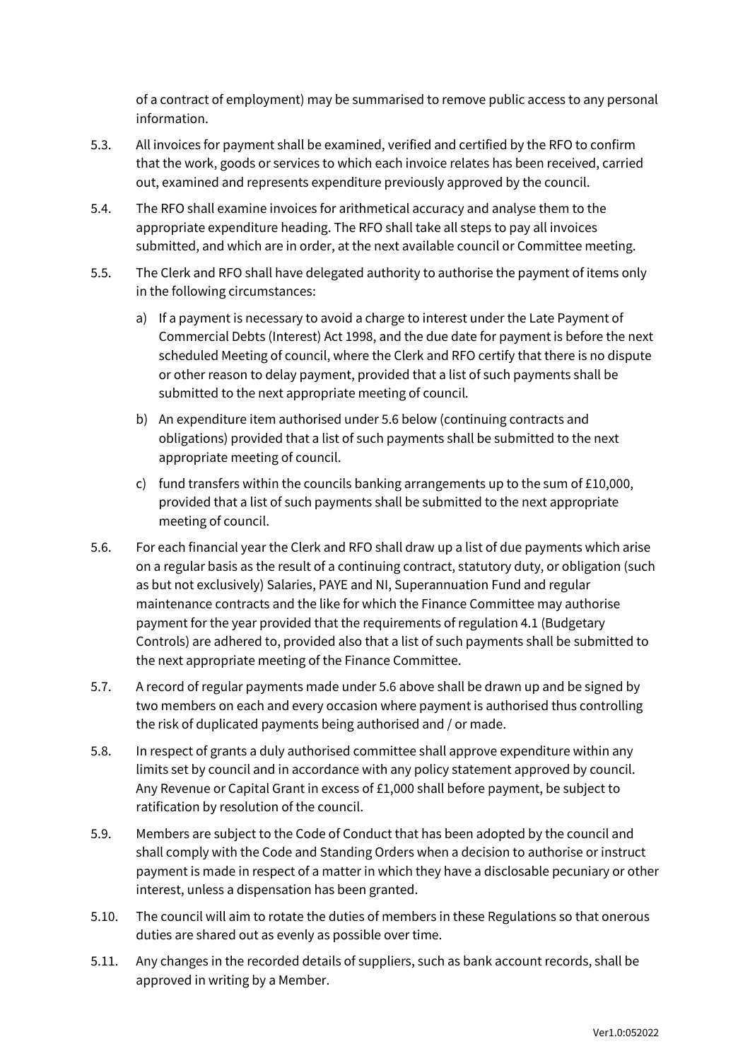of a contract of employment) may be summarised to remove public access to any personal information.

- 5.3. All invoices for payment shall be examined, verified and certified by the RFO to confirm that the work, goods or services to which each invoice relates has been received, carried out, examined and represents expenditure previously approved by the council.
- 5.4. The RFO shall examine invoices for arithmetical accuracy and analyse them to the appropriate expenditure heading. The RFO shall take all steps to pay all invoices submitted, and which are in order, at the next available council or Committee meeting.
- 5.5. The Clerk and RFO shall have delegated authority to authorise the payment of items only in the following circumstances:
	- a) If a payment is necessary to avoid a charge to interest under the Late Payment of Commercial Debts (Interest) Act 1998, and the due date for payment is before the next scheduled Meeting of council, where the Clerk and RFO certify that there is no dispute or other reason to delay payment, provided that a list of such payments shall be submitted to the next appropriate meeting of council.
	- b) An expenditure item authorised under 5.6 below (continuing contracts and obligations) provided that a list of such payments shall be submitted to the next appropriate meeting of council.
	- c) fund transfers within the councils banking arrangements up to the sum of £10,000, provided that a list of such payments shall be submitted to the next appropriate meeting of council.
- 5.6. For each financial year the Clerk and RFO shall draw up a list of due payments which arise on a regular basis as the result of a continuing contract, statutory duty, or obligation (such as but not exclusively) Salaries, PAYE and NI, Superannuation Fund and regular maintenance contracts and the like for which the Finance Committee may authorise payment for the year provided that the requirements of regulation 4.1 (Budgetary Controls) are adhered to, provided also that a list of such payments shall be submitted to the next appropriate meeting of the Finance Committee.
- 5.7. A record of regular payments made under 5.6 above shall be drawn up and be signed by two members on each and every occasion where payment is authorised thus controlling the risk of duplicated payments being authorised and / or made.
- 5.8. In respect of grants a duly authorised committee shall approve expenditure within any limits set by council and in accordance with any policy statement approved by council. Any Revenue or Capital Grant in excess of £1,000 shall before payment, be subject to ratification by resolution of the council.
- 5.9. Members are subject to the Code of Conduct that has been adopted by the council and shall comply with the Code and Standing Orders when a decision to authorise or instruct payment is made in respect of a matter in which they have a disclosable pecuniary or other interest, unless a dispensation has been granted.
- 5.10. The council will aim to rotate the duties of members in these Regulations so that onerous duties are shared out as evenly as possible over time.
- 5.11. Any changes in the recorded details of suppliers, such as bank account records, shall be approved in writing by a Member.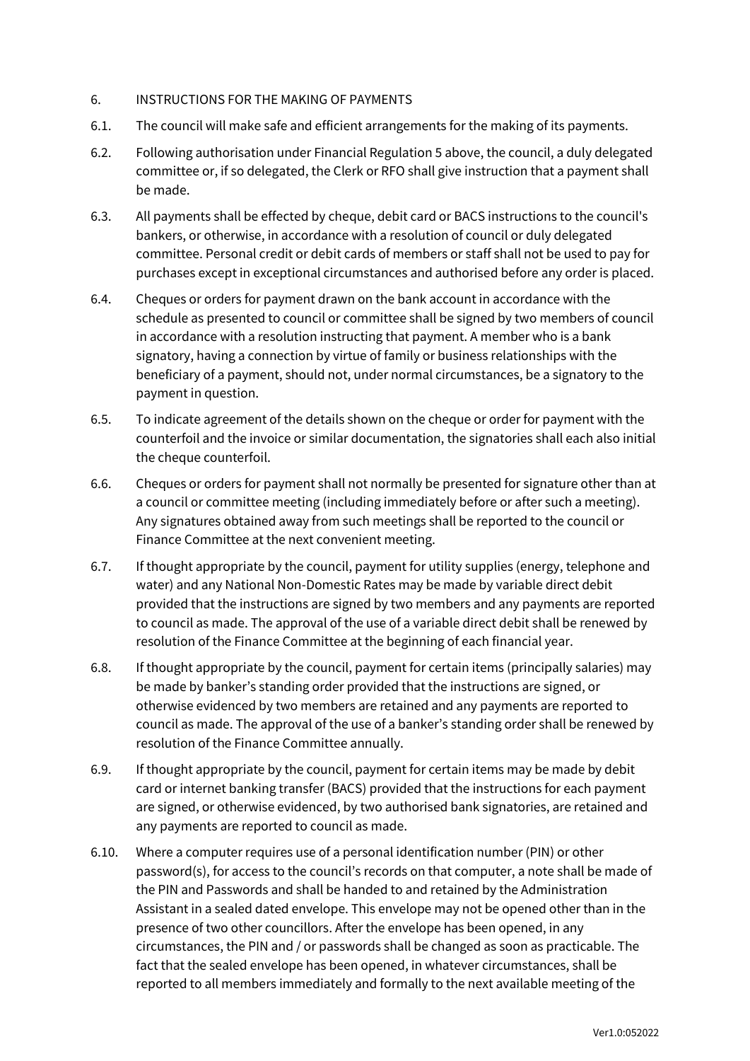#### <span id="page-7-0"></span>6. INSTRUCTIONS FOR THE MAKING OF PAYMENTS

- 6.1. The council will make safe and efficient arrangements for the making of its payments.
- 6.2. Following authorisation under Financial Regulation 5 above, the council, a duly delegated committee or, if so delegated, the Clerk or RFO shall give instruction that a payment shall be made.
- 6.3. All payments shall be effected by cheque, debit card or BACS instructions to the council's bankers, or otherwise, in accordance with a resolution of council or duly delegated committee. Personal credit or debit cards of members or staff shall not be used to pay for purchases except in exceptional circumstances and authorised before any order is placed.
- 6.4. Cheques or orders for payment drawn on the bank account in accordance with the schedule as presented to council or committee shall be signed by two members of council in accordance with a resolution instructing that payment. A member who is a bank signatory, having a connection by virtue of family or business relationships with the beneficiary of a payment, should not, under normal circumstances, be a signatory to the payment in question.
- 6.5. To indicate agreement of the details shown on the cheque or order for payment with the counterfoil and the invoice or similar documentation, the signatories shall each also initial the cheque counterfoil.
- 6.6. Cheques or orders for payment shall not normally be presented for signature other than at a council or committee meeting (including immediately before or after such a meeting). Any signatures obtained away from such meetings shall be reported to the council or Finance Committee at the next convenient meeting.
- 6.7. If thought appropriate by the council, payment for utility supplies (energy, telephone and water) and any National Non-Domestic Rates may be made by variable direct debit provided that the instructions are signed by two members and any payments are reported to council as made. The approval of the use of a variable direct debit shall be renewed by resolution of the Finance Committee at the beginning of each financial year.
- 6.8. If thought appropriate by the council, payment for certain items (principally salaries) may be made by banker's standing order provided that the instructions are signed, or otherwise evidenced by two members are retained and any payments are reported to council as made. The approval of the use of a banker's standing order shall be renewed by resolution of the Finance Committee annually.
- 6.9. If thought appropriate by the council, payment for certain items may be made by debit card or internet banking transfer (BACS) provided that the instructions for each payment are signed, or otherwise evidenced, by two authorised bank signatories, are retained and any payments are reported to council as made.
- 6.10. Where a computer requires use of a personal identification number (PIN) or other password(s), for access to the council's records on that computer, a note shall be made of the PIN and Passwords and shall be handed to and retained by the Administration Assistant in a sealed dated envelope. This envelope may not be opened other than in the presence of two other councillors. After the envelope has been opened, in any circumstances, the PIN and / or passwords shall be changed as soon as practicable. The fact that the sealed envelope has been opened, in whatever circumstances, shall be reported to all members immediately and formally to the next available meeting of the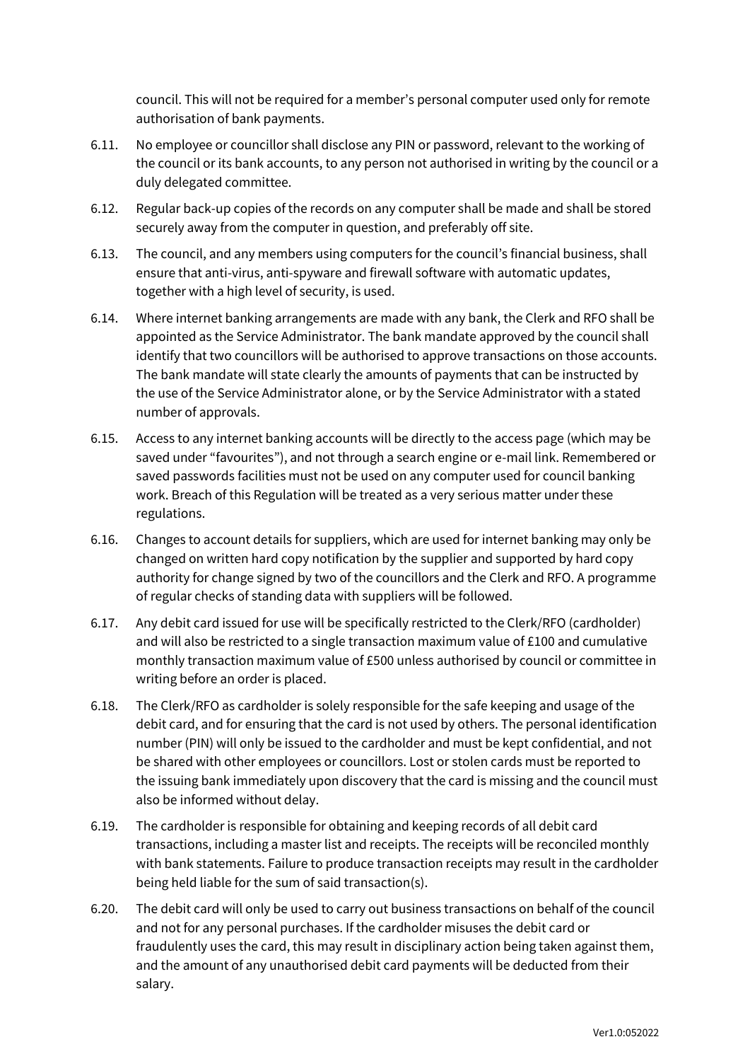council. This will not be required for a member's personal computer used only for remote authorisation of bank payments.

- 6.11. No employee or councillor shall disclose any PIN or password, relevant to the working of the council or its bank accounts, to any person not authorised in writing by the council or a duly delegated committee.
- 6.12. Regular back-up copies of the records on any computer shall be made and shall be stored securely away from the computer in question, and preferably off site.
- 6.13. The council, and any members using computers for the council's financial business, shall ensure that anti-virus, anti-spyware and firewall software with automatic updates, together with a high level of security, is used.
- 6.14. Where internet banking arrangements are made with any bank, the Clerk and RFO shall be appointed as the Service Administrator. The bank mandate approved by the council shall identify that two councillors will be authorised to approve transactions on those accounts. The bank mandate will state clearly the amounts of payments that can be instructed by the use of the Service Administrator alone, or by the Service Administrator with a stated number of approvals.
- 6.15. Access to any internet banking accounts will be directly to the access page (which may be saved under "favourites"), and not through a search engine or e-mail link. Remembered or saved passwords facilities must not be used on any computer used for council banking work. Breach of this Regulation will be treated as a very serious matter under these regulations.
- 6.16. Changes to account details for suppliers, which are used for internet banking may only be changed on written hard copy notification by the supplier and supported by hard copy authority for change signed by two of the councillors and the Clerk and RFO. A programme of regular checks of standing data with suppliers will be followed.
- 6.17. Any debit card issued for use will be specifically restricted to the Clerk/RFO (cardholder) and will also be restricted to a single transaction maximum value of £100 and cumulative monthly transaction maximum value of £500 unless authorised by council or committee in writing before an order is placed.
- 6.18. The Clerk/RFO as cardholder is solely responsible for the safe keeping and usage of the debit card, and for ensuring that the card is not used by others. The personal identification number (PIN) will only be issued to the cardholder and must be kept confidential, and not be shared with other employees or councillors. Lost or stolen cards must be reported to the issuing bank immediately upon discovery that the card is missing and the council must also be informed without delay.
- 6.19. The cardholder is responsible for obtaining and keeping records of all debit card transactions, including a master list and receipts. The receipts will be reconciled monthly with bank statements. Failure to produce transaction receipts may result in the cardholder being held liable for the sum of said transaction(s).
- 6.20. The debit card will only be used to carry out business transactions on behalf of the council and not for any personal purchases. If the cardholder misuses the debit card or fraudulently uses the card, this may result in disciplinary action being taken against them, and the amount of any unauthorised debit card payments will be deducted from their salary.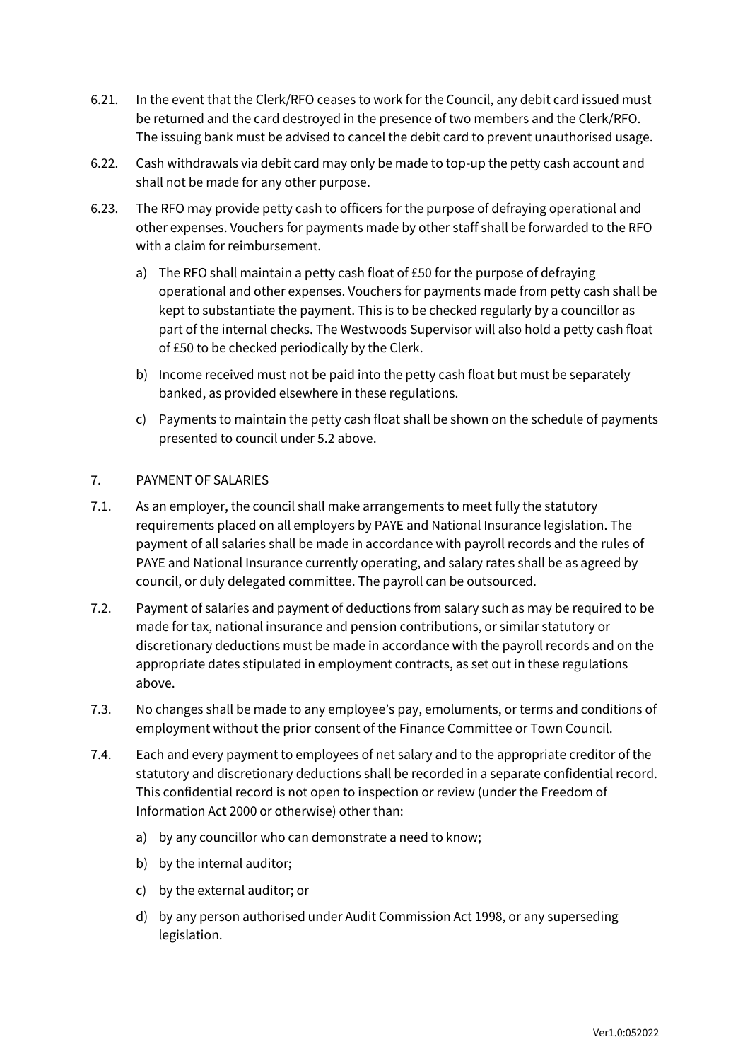- 6.21. In the event that the Clerk/RFO ceases to work for the Council, any debit card issued must be returned and the card destroyed in the presence of two members and the Clerk/RFO. The issuing bank must be advised to cancel the debit card to prevent unauthorised usage.
- 6.22. Cash withdrawals via debit card may only be made to top-up the petty cash account and shall not be made for any other purpose.
- 6.23. The RFO may provide petty cash to officers for the purpose of defraying operational and other expenses. Vouchers for payments made by other staff shall be forwarded to the RFO with a claim for reimbursement.
	- a) The RFO shall maintain a petty cash float of £50 for the purpose of defraying operational and other expenses. Vouchers for payments made from petty cash shall be kept to substantiate the payment. This is to be checked regularly by a councillor as part of the internal checks. The Westwoods Supervisor will also hold a petty cash float of £50 to be checked periodically by the Clerk.
	- b) Income received must not be paid into the petty cash float but must be separately banked, as provided elsewhere in these regulations.
	- c) Payments to maintain the petty cash float shall be shown on the schedule of payments presented to council under 5.2 above.

## <span id="page-9-0"></span>7. PAYMENT OF SALARIES

- 7.1. As an employer, the council shall make arrangements to meet fully the statutory requirements placed on all employers by PAYE and National Insurance legislation. The payment of all salaries shall be made in accordance with payroll records and the rules of PAYE and National Insurance currently operating, and salary rates shall be as agreed by council, or duly delegated committee. The payroll can be outsourced.
- 7.2. Payment of salaries and payment of deductions from salary such as may be required to be made for tax, national insurance and pension contributions, or similar statutory or discretionary deductions must be made in accordance with the payroll records and on the appropriate dates stipulated in employment contracts, as set out in these regulations above.
- 7.3. No changes shall be made to any employee's pay, emoluments, or terms and conditions of employment without the prior consent of the Finance Committee or Town Council.
- 7.4. Each and every payment to employees of net salary and to the appropriate creditor of the statutory and discretionary deductions shall be recorded in a separate confidential record. This confidential record is not open to inspection or review (under the Freedom of Information Act 2000 or otherwise) other than:
	- a) by any councillor who can demonstrate a need to know;
	- b) by the internal auditor;
	- c) by the external auditor; or
	- d) by any person authorised under Audit Commission Act 1998, or any superseding legislation.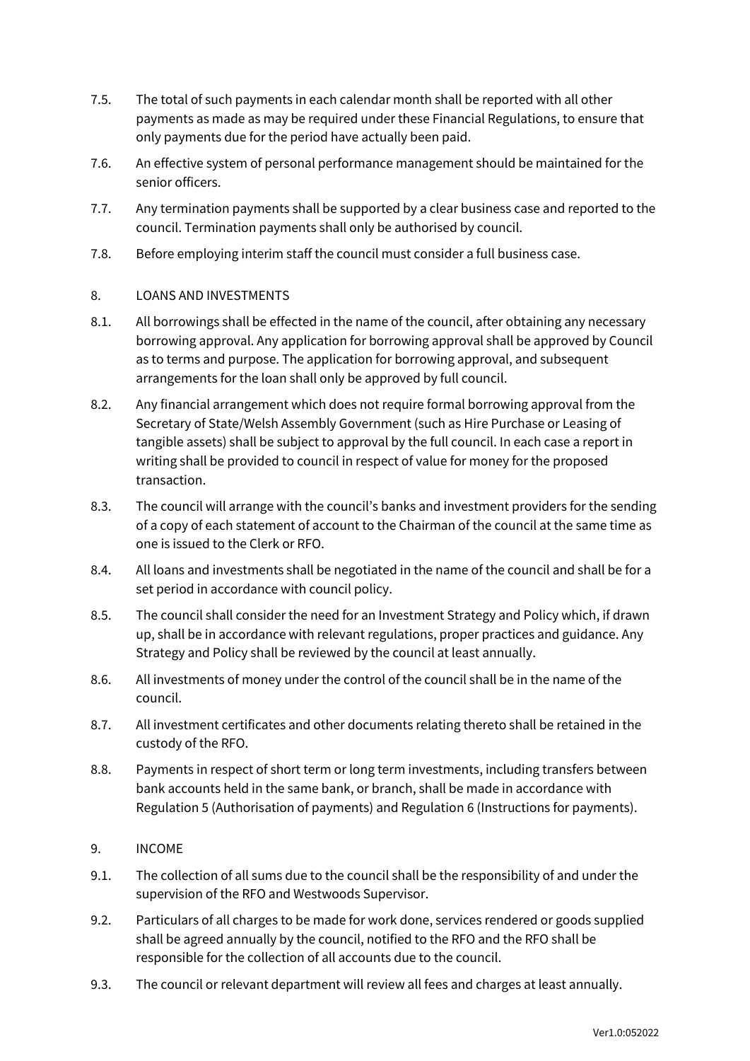- 7.5. The total of such payments in each calendar month shall be reported with all other payments as made as may be required under these Financial Regulations, to ensure that only payments due for the period have actually been paid.
- 7.6. An effective system of personal performance management should be maintained for the senior officers.
- 7.7. Any termination payments shall be supported by a clear business case and reported to the council. Termination payments shall only be authorised by council.
- 7.8. Before employing interim staff the council must consider a full business case.

## <span id="page-10-0"></span>8. LOANS AND INVESTMENTS

- 8.1. All borrowings shall be effected in the name of the council, after obtaining any necessary borrowing approval. Any application for borrowing approval shall be approved by Council as to terms and purpose. The application for borrowing approval, and subsequent arrangements for the loan shall only be approved by full council.
- 8.2. Any financial arrangement which does not require formal borrowing approval from the Secretary of State/Welsh Assembly Government (such as Hire Purchase or Leasing of tangible assets) shall be subject to approval by the full council. In each case a report in writing shall be provided to council in respect of value for money for the proposed transaction.
- 8.3. The council will arrange with the council's banks and investment providers for the sending of a copy of each statement of account to the Chairman of the council at the same time as one is issued to the Clerk or RFO.
- 8.4. All loans and investments shall be negotiated in the name of the council and shall be for a set period in accordance with council policy.
- 8.5. The council shall consider the need for an Investment Strategy and Policy which, if drawn up, shall be in accordance with relevant regulations, proper practices and guidance. Any Strategy and Policy shall be reviewed by the council at least annually.
- 8.6. All investments of money under the control of the council shall be in the name of the council.
- 8.7. All investment certificates and other documents relating thereto shall be retained in the custody of the RFO.
- 8.8. Payments in respect of short term or long term investments, including transfers between bank accounts held in the same bank, or branch, shall be made in accordance with Regulation 5 (Authorisation of payments) and Regulation 6 (Instructions for payments).
- <span id="page-10-1"></span>9. INCOME
- 9.1. The collection of all sums due to the council shall be the responsibility of and under the supervision of the RFO and Westwoods Supervisor.
- 9.2. Particulars of all charges to be made for work done, services rendered or goods supplied shall be agreed annually by the council, notified to the RFO and the RFO shall be responsible for the collection of all accounts due to the council.
- 9.3. The council or relevant department will review all fees and charges at least annually.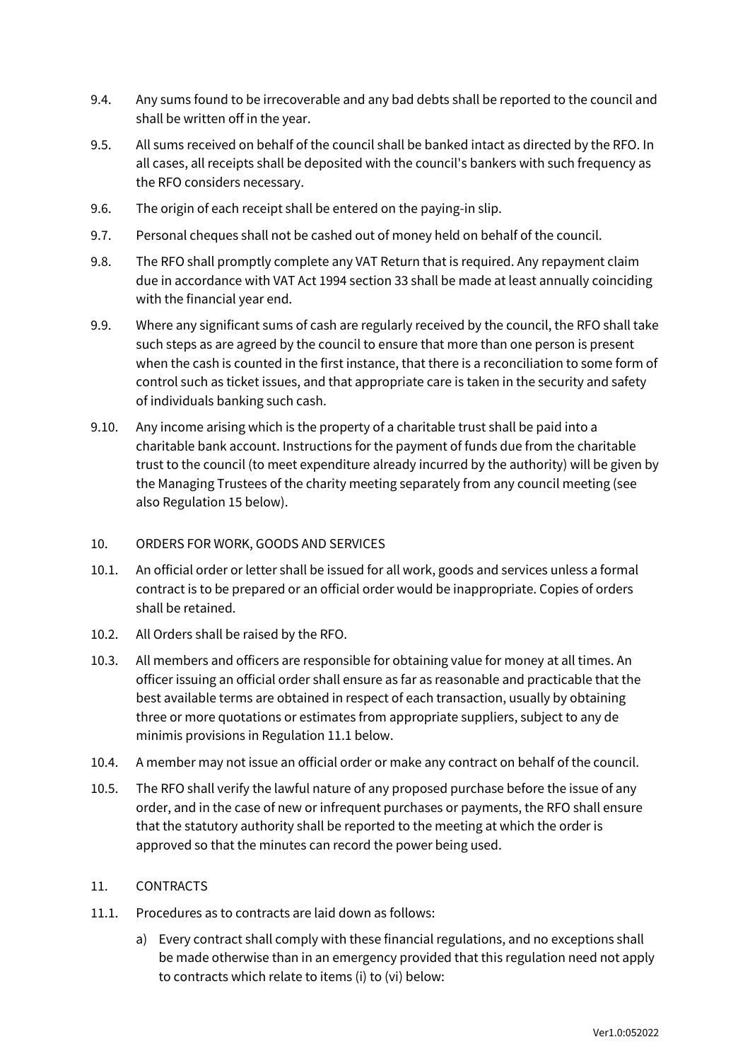- 9.4. Any sums found to be irrecoverable and any bad debts shall be reported to the council and shall be written off in the year.
- 9.5. All sums received on behalf of the council shall be banked intact as directed by the RFO. In all cases, all receipts shall be deposited with the council's bankers with such frequency as the RFO considers necessary.
- 9.6. The origin of each receipt shall be entered on the paying-in slip.
- 9.7. Personal cheques shall not be cashed out of money held on behalf of the council.
- 9.8. The RFO shall promptly complete any VAT Return that is required. Any repayment claim due in accordance with VAT Act 1994 section 33 shall be made at least annually coinciding with the financial year end.
- 9.9. Where any significant sums of cash are regularly received by the council, the RFO shall take such steps as are agreed by the council to ensure that more than one person is present when the cash is counted in the first instance, that there is a reconciliation to some form of control such as ticket issues, and that appropriate care is taken in the security and safety of individuals banking such cash.
- 9.10. Any income arising which is the property of a charitable trust shall be paid into a charitable bank account. Instructions for the payment of funds due from the charitable trust to the council (to meet expenditure already incurred by the authority) will be given by the Managing Trustees of the charity meeting separately from any council meeting (see also Regulation 15 below).

## <span id="page-11-0"></span>10. ORDERS FOR WORK, GOODS AND SERVICES

- 10.1. An official order or letter shall be issued for all work, goods and services unless a formal contract is to be prepared or an official order would be inappropriate. Copies of orders shall be retained.
- 10.2. All Orders shall be raised by the RFO.
- 10.3. All members and officers are responsible for obtaining value for money at all times. An officer issuing an official order shall ensure as far as reasonable and practicable that the best available terms are obtained in respect of each transaction, usually by obtaining three or more quotations or estimates from appropriate suppliers, subject to any de minimis provisions in Regulation 11.1 below.
- 10.4. A member may not issue an official order or make any contract on behalf of the council.
- 10.5. The RFO shall verify the lawful nature of any proposed purchase before the issue of any order, and in the case of new or infrequent purchases or payments, the RFO shall ensure that the statutory authority shall be reported to the meeting at which the order is approved so that the minutes can record the power being used.

## <span id="page-11-1"></span>11. CONTRACTS

- 11.1. Procedures as to contracts are laid down as follows:
	- a) Every contract shall comply with these financial regulations, and no exceptions shall be made otherwise than in an emergency provided that this regulation need not apply to contracts which relate to items (i) to (vi) below: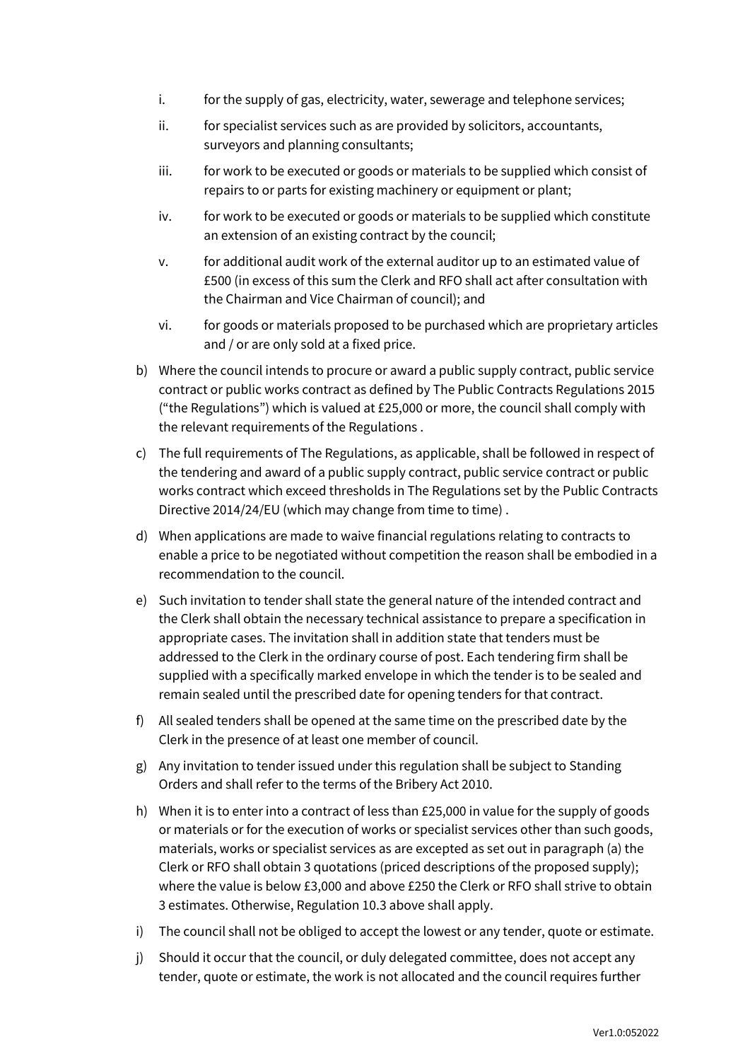- i. for the supply of gas, electricity, water, sewerage and telephone services;
- ii. for specialist services such as are provided by solicitors, accountants, surveyors and planning consultants;
- iii. for work to be executed or goods or materials to be supplied which consist of repairs to or parts for existing machinery or equipment or plant;
- iv. for work to be executed or goods or materials to be supplied which constitute an extension of an existing contract by the council;
- v. for additional audit work of the external auditor up to an estimated value of £500 (in excess of this sum the Clerk and RFO shall act after consultation with the Chairman and Vice Chairman of council); and
- vi. for goods or materials proposed to be purchased which are proprietary articles and / or are only sold at a fixed price.
- b) Where the council intends to procure or award a public supply contract, public service contract or public works contract as defined by The Public Contracts Regulations 2015 ("the Regulations") which is valued at £25,000 or more, the council shall comply with the relevant requirements of the Regulations .
- c) The full requirements of The Regulations, as applicable, shall be followed in respect of the tendering and award of a public supply contract, public service contract or public works contract which exceed thresholds in The Regulations set by the Public Contracts Directive 2014/24/EU (which may change from time to time).
- d) When applications are made to waive financial regulations relating to contracts to enable a price to be negotiated without competition the reason shall be embodied in a recommendation to the council.
- e) Such invitation to tender shall state the general nature of the intended contract and the Clerk shall obtain the necessary technical assistance to prepare a specification in appropriate cases. The invitation shall in addition state that tenders must be addressed to the Clerk in the ordinary course of post. Each tendering firm shall be supplied with a specifically marked envelope in which the tender is to be sealed and remain sealed until the prescribed date for opening tenders for that contract.
- f) All sealed tenders shall be opened at the same time on the prescribed date by the Clerk in the presence of at least one member of council.
- g) Any invitation to tender issued under this regulation shall be subject to Standing Orders and shall refer to the terms of the Bribery Act 2010.
- h) When it is to enter into a contract of less than £25,000 in value for the supply of goods or materials or for the execution of works or specialist services other than such goods, materials, works or specialist services as are excepted as set out in paragraph (a) the Clerk or RFO shall obtain 3 quotations (priced descriptions of the proposed supply); where the value is below £3,000 and above £250 the Clerk or RFO shall strive to obtain 3 estimates. Otherwise, Regulation 10.3 above shall apply.
- i) The council shall not be obliged to accept the lowest or any tender, quote or estimate.
- j) Should it occur that the council, or duly delegated committee, does not accept any tender, quote or estimate, the work is not allocated and the council requires further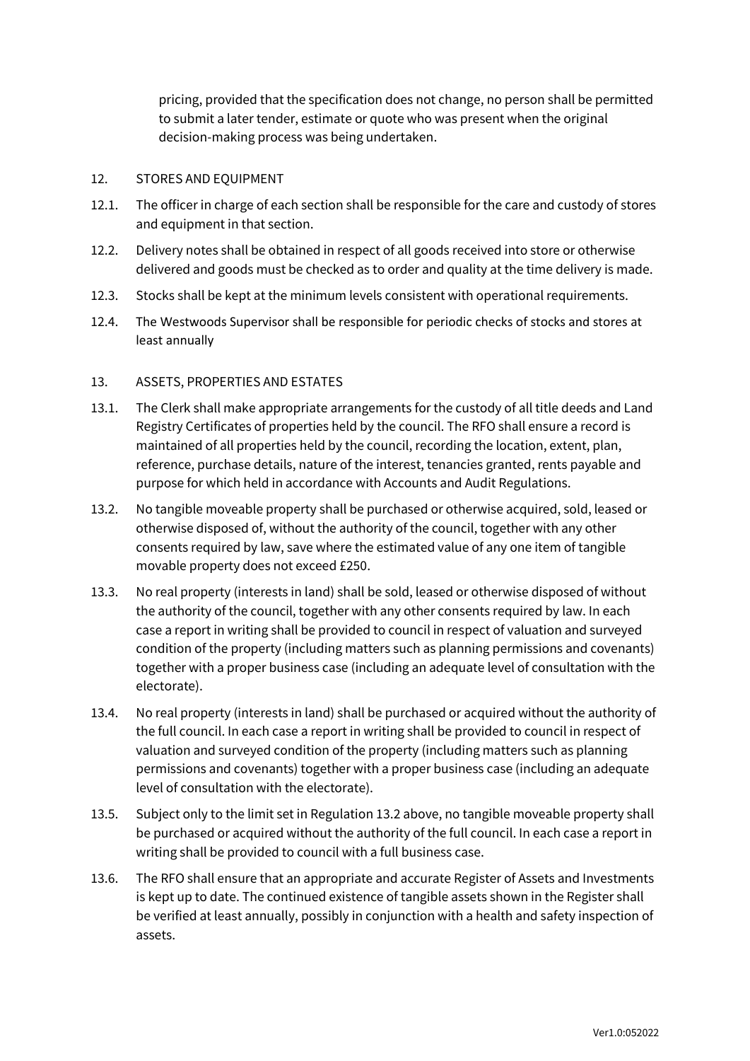pricing, provided that the specification does not change, no person shall be permitted to submit a later tender, estimate or quote who was present when the original decision-making process was being undertaken.

#### <span id="page-13-0"></span>12. STORES AND EQUIPMENT

- 12.1. The officer in charge of each section shall be responsible for the care and custody of stores and equipment in that section.
- 12.2. Delivery notes shall be obtained in respect of all goods received into store or otherwise delivered and goods must be checked as to order and quality at the time delivery is made.
- 12.3. Stocks shall be kept at the minimum levels consistent with operational requirements.
- 12.4. The Westwoods Supervisor shall be responsible for periodic checks of stocks and stores at least annually

#### <span id="page-13-1"></span>13. ASSETS, PROPERTIES AND ESTATES

- 13.1. The Clerk shall make appropriate arrangements for the custody of all title deeds and Land Registry Certificates of properties held by the council. The RFO shall ensure a record is maintained of all properties held by the council, recording the location, extent, plan, reference, purchase details, nature of the interest, tenancies granted, rents payable and purpose for which held in accordance with Accounts and Audit Regulations.
- 13.2. No tangible moveable property shall be purchased or otherwise acquired, sold, leased or otherwise disposed of, without the authority of the council, together with any other consents required by law, save where the estimated value of any one item of tangible movable property does not exceed £250.
- 13.3. No real property (interests in land) shall be sold, leased or otherwise disposed of without the authority of the council, together with any other consents required by law. In each case a report in writing shall be provided to council in respect of valuation and surveyed condition of the property (including matters such as planning permissions and covenants) together with a proper business case (including an adequate level of consultation with the electorate).
- 13.4. No real property (interests in land) shall be purchased or acquired without the authority of the full council. In each case a report in writing shall be provided to council in respect of valuation and surveyed condition of the property (including matters such as planning permissions and covenants) together with a proper business case (including an adequate level of consultation with the electorate).
- 13.5. Subject only to the limit set in Regulation 13.2 above, no tangible moveable property shall be purchased or acquired without the authority of the full council. In each case a report in writing shall be provided to council with a full business case.
- 13.6. The RFO shall ensure that an appropriate and accurate Register of Assets and Investments is kept up to date. The continued existence of tangible assets shown in the Register shall be verified at least annually, possibly in conjunction with a health and safety inspection of assets.